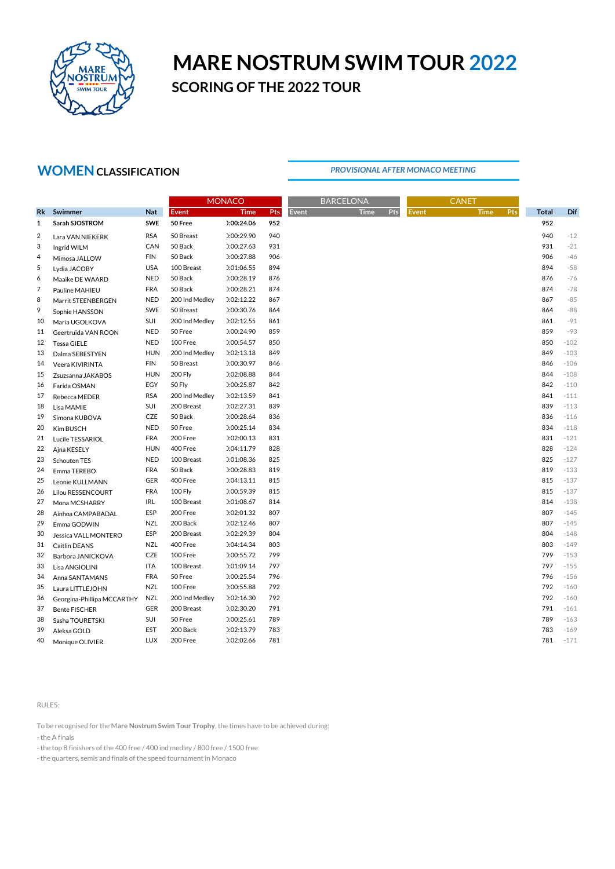

# **MARE NOSTRUM SWIM TOUR 2022 SCORING OF THE 2022 TOUR**

### **WOMENCLASSIFICATION**

### *PROVISIONAL AFTER MONACO MEETING*

|                |                            |            | <b>MONACO</b>  |             |            | <b>BARCELONA</b> | <b>CANET</b> |     |              |             |     |              |        |
|----------------|----------------------------|------------|----------------|-------------|------------|------------------|--------------|-----|--------------|-------------|-----|--------------|--------|
| <b>Rk</b>      | Swimmer                    | <b>Nat</b> | <b>Event</b>   | <b>Time</b> | <b>Pts</b> | Event            | <b>Time</b>  | Pts | <b>Event</b> | <b>Time</b> | Pts | <b>Total</b> | Dif    |
| $\mathbf{1}$   | Sarah SJOSTROM             | <b>SWE</b> | 50 Free        | ):00:24.06  | 952        |                  |              |     |              |             |     | 952          |        |
| $\overline{2}$ | Lara VAN NIEKERK           | <b>RSA</b> | 50 Breast      | ):00:29.90  | 940        |                  |              |     |              |             |     | 940          | $-12$  |
| 3              | Ingrid WILM                | CAN        | 50 Back        | 0:00:27.63  | 931        |                  |              |     |              |             |     | 931          | $-21$  |
| 4              | Mimosa JALLOW              | <b>FIN</b> | 50 Back        | ):00:27.88  | 906        |                  |              |     |              |             |     | 906          | $-46$  |
| 5              | Lydia JACOBY               | <b>USA</b> | 100 Breast     | 0:1:06.55   | 894        |                  |              |     |              |             |     | 894          | $-58$  |
| 6              | Maaike DE WAARD            | <b>NED</b> | 50 Back        | ):00:28.19  | 876        |                  |              |     |              |             |     | 876          | $-76$  |
| 7              | Pauline MAHIEU             | <b>FRA</b> | 50 Back        | ):00:28.21  | 874        |                  |              |     |              |             |     | 874          | $-78$  |
| 8              | Marrit STEENBERGEN         | <b>NED</b> | 200 Ind Medley | 0:02:12.22  | 867        |                  |              |     |              |             |     | 867          | $-85$  |
| 9              | Sophie HANSSON             | <b>SWE</b> | 50 Breast      | ):00:30.76  | 864        |                  |              |     |              |             |     | 864          | $-88$  |
| 10             | Maria UGOLKOVA             | SUI        | 200 Ind Medley | 0:2:12.55   | 861        |                  |              |     |              |             |     | 861          | $-91$  |
| 11             | Geertruida VAN ROON        | <b>NED</b> | 50 Free        | ):00:24.90  | 859        |                  |              |     |              |             |     | 859          | -93    |
| 12             | Tessa GIELE                | <b>NED</b> | 100 Free       | ):00:54.57  | 850        |                  |              |     |              |             |     | 850          | $-102$ |
| 13             | Dalma SEBESTYEN            | <b>HUN</b> | 200 Ind Medley | 0:02:13.18  | 849        |                  |              |     |              |             |     | 849          | $-103$ |
| 14             | Veera KIVIRINTA            | <b>FIN</b> | 50 Breast      | ):00:30.97  | 846        |                  |              |     |              |             |     | 846          | $-106$ |
| 15             | Zsuzsanna JAKABOS          | <b>HUN</b> | <b>200 Fly</b> | ):02:08.88  | 844        |                  |              |     |              |             |     | 844          | $-108$ |
| 16             | Farida OSMAN               | EGY        | 50 Fly         | ):00:25.87  | 842        |                  |              |     |              |             |     | 842          | $-110$ |
| 17             | Rebecca MEDER              | <b>RSA</b> | 200 Ind Medley | ):02:13.59  | 841        |                  |              |     |              |             |     | 841          | $-111$ |
| 18             | Lisa MAMIE                 | SUI        | 200 Breast     | 0:2:27.31   | 839        |                  |              |     |              |             |     | 839          | $-113$ |
| 19             | Simona KUBOVA              | CZE        | 50 Back        | ):00:28.64  | 836        |                  |              |     |              |             |     | 836          | $-116$ |
| 20             | Kim BUSCH                  | <b>NED</b> | 50 Free        | ):00:25.14  | 834        |                  |              |     |              |             |     | 834          | $-118$ |
| 21             | Lucile TESSARIOL           | <b>FRA</b> | 200 Free       | ):02:00.13  | 831        |                  |              |     |              |             |     | 831          | $-121$ |
| 22             | Ajna KESELY                | <b>HUN</b> | 400 Free       | ):04:11.79  | 828        |                  |              |     |              |             |     | 828          | $-124$ |
| 23             | Schouten TES               | <b>NED</b> | 100 Breast     | 0:1:08.36   | 825        |                  |              |     |              |             |     | 825          | $-127$ |
| 24             | Emma TEREBO                | <b>FRA</b> | 50 Back        | 0:00:28.83  | 819        |                  |              |     |              |             |     | 819          | $-133$ |
| 25             | Leonie KULLMANN            | <b>GER</b> | 400 Free       | 0:04:13.11  | 815        |                  |              |     |              |             |     | 815          | $-137$ |
| 26             | Lilou RESSENCOURT          | <b>FRA</b> | 100 Fly        | ):00:59.39  | 815        |                  |              |     |              |             |     | 815          | $-137$ |
| 27             | Mona MCSHARRY              | IRL        | 100 Breast     | 0:1:08.67   | 814        |                  |              |     |              |             |     | 814          | $-138$ |
| 28             | Ainhoa CAMPABADAL          | <b>ESP</b> | 200 Free       | 0:2:01.32   | 807        |                  |              |     |              |             |     | 807          | $-145$ |
| 29             | Emma GODWIN                | <b>NZL</b> | 200 Back       | 0:02:12.46  | 807        |                  |              |     |              |             |     | 807          | $-145$ |
| 30             | Jessica VALL MONTERO       | ESP        | 200 Breast     | ):02:29.39  | 804        |                  |              |     |              |             |     | 804          | $-148$ |
| 31             | Caitlin DEANS              | <b>NZL</b> | 400 Free       | 0:04:14.34  | 803        |                  |              |     |              |             |     | 803          | $-149$ |
| 32             | Barbora JANICKOVA          | CZE        | 100 Free       | ):00:55.72  | 799        |                  |              |     |              |             |     | 799          | $-153$ |
| 33             | Lisa ANGIOLINI             | ITA        | 100 Breast     | 0:01:09.14  | 797        |                  |              |     |              |             |     | 797          | $-155$ |
| 34             | Anna SANTAMANS             | <b>FRA</b> | 50 Free        | ):00:25.54  | 796        |                  |              |     |              |             |     | 796          | $-156$ |
| 35             | Laura LITTLEJOHN           | <b>NZL</b> | 100 Free       | 0:00:55.88  | 792        |                  |              |     |              |             |     | 792          | $-160$ |
| 36             | Georgina-Phillipa MCCARTHY | <b>NZL</b> | 200 Ind Medley | ):02:16.30  | 792        |                  |              |     |              |             |     | 792          | $-160$ |
| 37             | <b>Bente FISCHER</b>       | <b>GER</b> | 200 Breast     | ):02:30.20  | 791        |                  |              |     |              |             |     | 791          | $-161$ |
| 38             | Sasha TOURETSKI            | SUI        | 50 Free        | 0:00:25.61  | 789        |                  |              |     |              |             |     | 789          | $-163$ |
| 39             | Aleksa GOLD                | EST        | 200 Back       | ):02:13.79  | 783        |                  |              |     |              |             |     | 783          | $-169$ |
| 40             | Monique OLIVIER            | LUX        | 200 Free       | 0:2:02.66   | 781        |                  |              |     |              |             |     | 781          | $-171$ |

### RULES:

To be recognised for the M**are Nostrum Swim Tour Trophy**, the times have to be achieved during:

- the A finals

- the top 8 finishers of the 400 free / 400 ind medley / 800 free / 1500 free

- the quarters, semis and finals of the speed tournament in Monaco